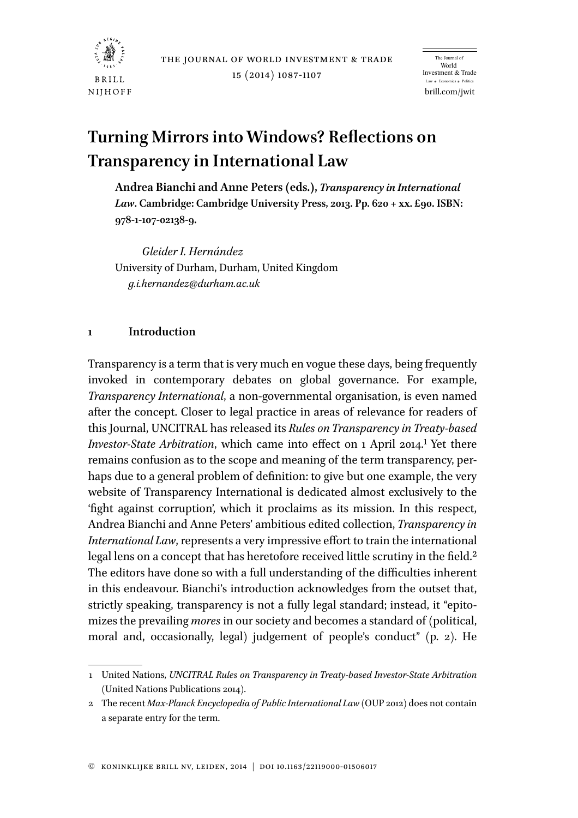

15 (2014) 1087-1107

brill.com/jwit The Journal of World Investment & Trade Law a Economics a Poli

# **Turning Mirrors into Windows? Reflections on Transparency in International Law**

**Andrea Bianchi and Anne Peters (eds.),** *Transparency in International Law***. Cambridge: Cambridge University Press, 2013. Pp. 620 + xx. £90. ISBN: 978-1-107-02138-9.**

*Gleider I. Hernández* University of Durham, Durham, United Kingdom *g.i.hernandez@durham.ac.uk*

# **1 Introduction**

Transparency is a term that is very much en vogue these days, being frequently invoked in contemporary debates on global governance. For example, *Transparency International*, a non-governmental organisation, is even named after the concept. Closer to legal practice in areas of relevance for readers of this Journal, UNCITRAL has released its *Rules on Transparency in Treaty-based Investor-State Arbitration*, which came into effect on 1 April 2014.<sup>1</sup> Yet there remains confusion as to the scope and meaning of the term transparency, perhaps due to a general problem of definition: to give but one example, the very website of Transparency International is dedicated almost exclusively to the 'fight against corruption', which it proclaims as its mission. In this respect, Andrea Bianchi and Anne Peters' ambitious edited collection, *Transparency in International Law*, represents a very impressive effort to train the international legal lens on a concept that has heretofore received little scrutiny in the field.<sup>2</sup> The editors have done so with a full understanding of the difficulties inherent in this endeavour. Bianchi's introduction acknowledges from the outset that, strictly speaking, transparency is not a fully legal standard; instead, it "epitomizes the prevailing *mores* in our society and becomes a standard of (political, moral and, occasionally, legal) judgement of people's conduct" (p. 2). He

<sup>1</sup> United Nations, *UNCITRAL Rules on Transparency in Treaty-based Investor-State Arbitration* (United Nations Publications 2014).

<sup>2</sup> The recent *Max-Planck Encyclopedia of Public International Law* (OUP 2012) does not contain a separate entry for the term.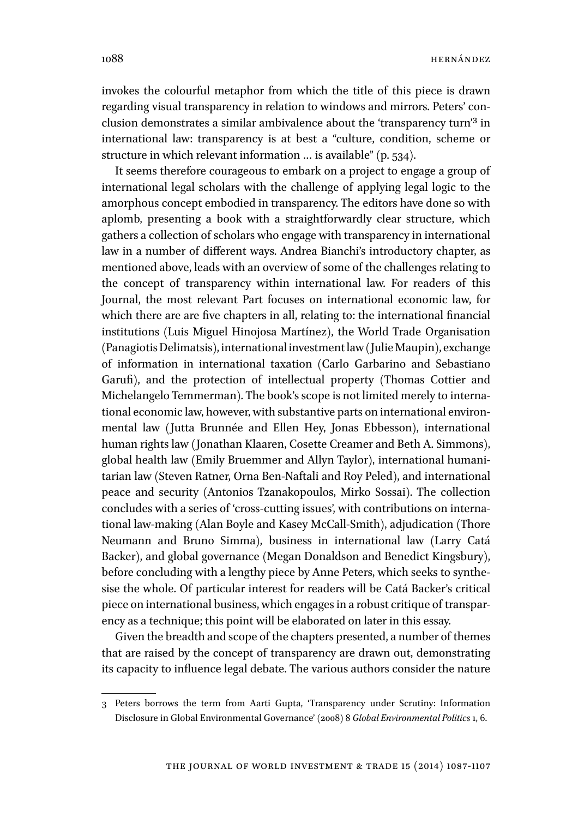1088 Hernández

invokes the colourful metaphor from which the title of this piece is drawn regarding visual transparency in relation to windows and mirrors. Peters' conclusion demonstrates a similar ambivalence about the 'transparency turn'3 in international law: transparency is at best a "culture, condition, scheme or structure in which relevant information … is available" (p. 534).

It seems therefore courageous to embark on a project to engage a group of international legal scholars with the challenge of applying legal logic to the amorphous concept embodied in transparency. The editors have done so with aplomb, presenting a book with a straightforwardly clear structure, which gathers a collection of scholars who engage with transparency in international law in a number of different ways. Andrea Bianchi's introductory chapter, as mentioned above, leads with an overview of some of the challenges relating to the concept of transparency within international law. For readers of this Journal, the most relevant Part focuses on international economic law, for which there are are five chapters in all, relating to: the international financial institutions (Luis Miguel Hinojosa Martínez), the World Trade Organisation (Panagiotis Delimatsis), international investment law (Julie Maupin), exchange of information in international taxation (Carlo Garbarino and Sebastiano Garufi), and the protection of intellectual property (Thomas Cottier and Michelangelo Temmerman). The book's scope is not limited merely to international economic law, however, with substantive parts on international environmental law (Jutta Brunnée and Ellen Hey, Jonas Ebbesson), international human rights law (Jonathan Klaaren, Cosette Creamer and Beth A. Simmons), global health law (Emily Bruemmer and Allyn Taylor), international humanitarian law (Steven Ratner, Orna Ben-Naftali and Roy Peled), and international peace and security (Antonios Tzanakopoulos, Mirko Sossai). The collection concludes with a series of 'cross-cutting issues', with contributions on international law-making (Alan Boyle and Kasey McCall-Smith), adjudication (Thore Neumann and Bruno Simma), business in international law (Larry Catá Backer), and global governance (Megan Donaldson and Benedict Kingsbury), before concluding with a lengthy piece by Anne Peters, which seeks to synthesise the whole. Of particular interest for readers will be Catá Backer's critical piece on international business, which engages in a robust critique of transparency as a technique; this point will be elaborated on later in this essay.

Given the breadth and scope of the chapters presented, a number of themes that are raised by the concept of transparency are drawn out, demonstrating its capacity to influence legal debate. The various authors consider the nature

<sup>3</sup> Peters borrows the term from Aarti Gupta, 'Transparency under Scrutiny: Information Disclosure in Global Environmental Governance' (2008) 8 *Global Environmental Politics* 1, 6.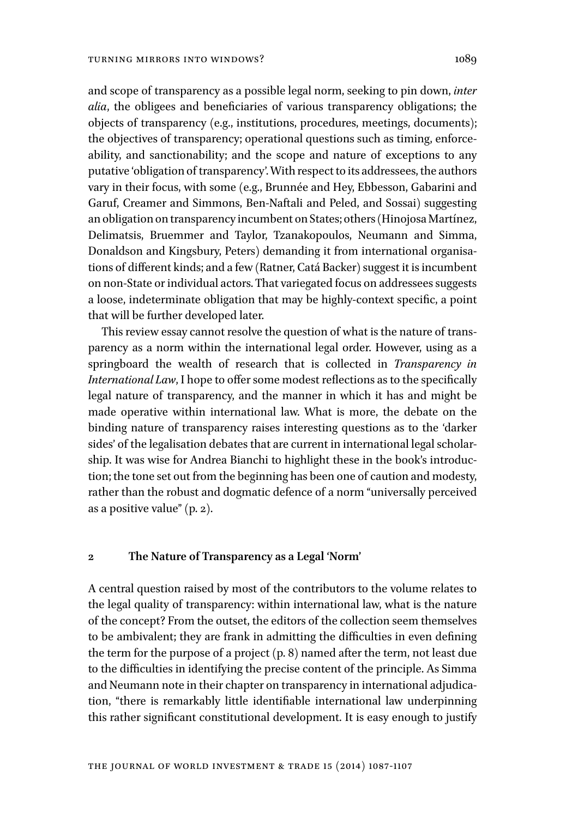and scope of transparency as a possible legal norm, seeking to pin down, *inter alia*, the obligees and beneficiaries of various transparency obligations; the objects of transparency (e.g., institutions, procedures, meetings, documents); the objectives of transparency; operational questions such as timing, enforceability, and sanctionability; and the scope and nature of exceptions to any putative 'obligation of transparency'. With respect to its addressees, the authors vary in their focus, with some (e.g., Brunnée and Hey, Ebbesson, Gabarini and Garuf, Creamer and Simmons, Ben-Naftali and Peled, and Sossai) suggesting an obligation on transparency incumbent on States; others (Hinojosa Martínez, Delimatsis, Bruemmer and Taylor, Tzanakopoulos, Neumann and Simma, Donaldson and Kingsbury, Peters) demanding it from international organisations of different kinds; and a few (Ratner, Catá Backer) suggest it is incumbent on non-State or individual actors. That variegated focus on addressees suggests a loose, indeterminate obligation that may be highly-context specific, a point that will be further developed later.

This review essay cannot resolve the question of what is the nature of transparency as a norm within the international legal order. However, using as a springboard the wealth of research that is collected in *Transparency in International Law*, I hope to offer some modest reflections as to the specifically legal nature of transparency, and the manner in which it has and might be made operative within international law. What is more, the debate on the binding nature of transparency raises interesting questions as to the 'darker sides' of the legalisation debates that are current in international legal scholarship. It was wise for Andrea Bianchi to highlight these in the book's introduction; the tone set out from the beginning has been one of caution and modesty, rather than the robust and dogmatic defence of a norm "universally perceived as a positive value" (p. 2).

#### **2 The Nature of Transparency as a Legal 'Norm'**

A central question raised by most of the contributors to the volume relates to the legal quality of transparency: within international law, what is the nature of the concept? From the outset, the editors of the collection seem themselves to be ambivalent; they are frank in admitting the difficulties in even defining the term for the purpose of a project (p. 8) named after the term, not least due to the difficulties in identifying the precise content of the principle. As Simma and Neumann note in their chapter on transparency in international adjudication, "there is remarkably little identifiable international law underpinning this rather significant constitutional development. It is easy enough to justify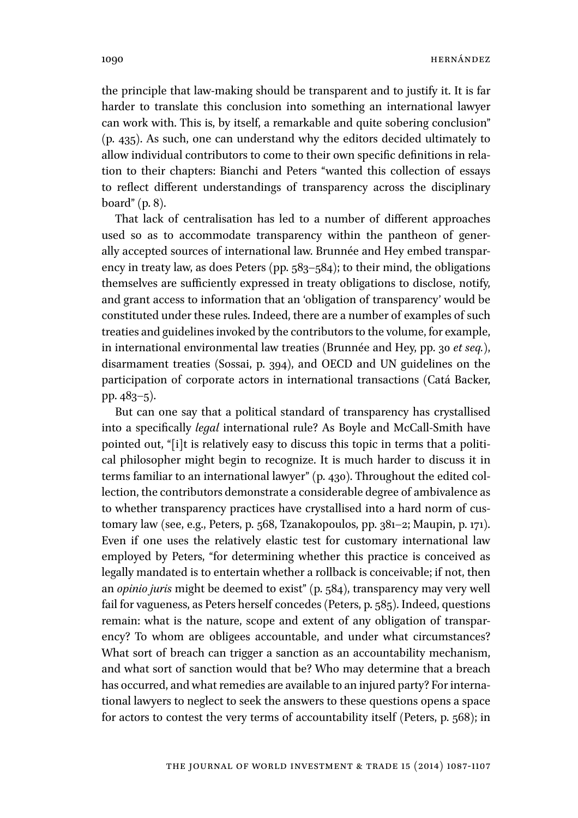the principle that law-making should be transparent and to justify it. It is far harder to translate this conclusion into something an international lawyer can work with. This is, by itself, a remarkable and quite sobering conclusion" (p. 435). As such, one can understand why the editors decided ultimately to allow individual contributors to come to their own specific definitions in relation to their chapters: Bianchi and Peters "wanted this collection of essays to reflect different understandings of transparency across the disciplinary board" (p. 8).

That lack of centralisation has led to a number of different approaches used so as to accommodate transparency within the pantheon of generally accepted sources of international law. Brunnée and Hey embed transparency in treaty law, as does Peters (pp. 583–584); to their mind, the obligations themselves are sufficiently expressed in treaty obligations to disclose, notify, and grant access to information that an 'obligation of transparency' would be constituted under these rules. Indeed, there are a number of examples of such treaties and guidelines invoked by the contributors to the volume, for example, in international environmental law treaties (Brunnée and Hey, pp. 30 *et seq.*), disarmament treaties (Sossai, p. 394), and OECD and UN guidelines on the participation of corporate actors in international transactions (Catá Backer, pp. 483–5).

But can one say that a political standard of transparency has crystallised into a specifically *legal* international rule? As Boyle and McCall-Smith have pointed out, "[i]t is relatively easy to discuss this topic in terms that a political philosopher might begin to recognize. It is much harder to discuss it in terms familiar to an international lawyer" (p. 430). Throughout the edited collection, the contributors demonstrate a considerable degree of ambivalence as to whether transparency practices have crystallised into a hard norm of customary law (see, e.g., Peters, p. 568, Tzanakopoulos, pp. 381–2; Maupin, p. 171). Even if one uses the relatively elastic test for customary international law employed by Peters, "for determining whether this practice is conceived as legally mandated is to entertain whether a rollback is conceivable; if not, then an *opinio juris* might be deemed to exist" (p. 584), transparency may very well fail for vagueness, as Peters herself concedes (Peters, p. 585). Indeed, questions remain: what is the nature, scope and extent of any obligation of transparency? To whom are obligees accountable, and under what circumstances? What sort of breach can trigger a sanction as an accountability mechanism, and what sort of sanction would that be? Who may determine that a breach has occurred, and what remedies are available to an injured party? For international lawyers to neglect to seek the answers to these questions opens a space for actors to contest the very terms of accountability itself (Peters, p. 568); in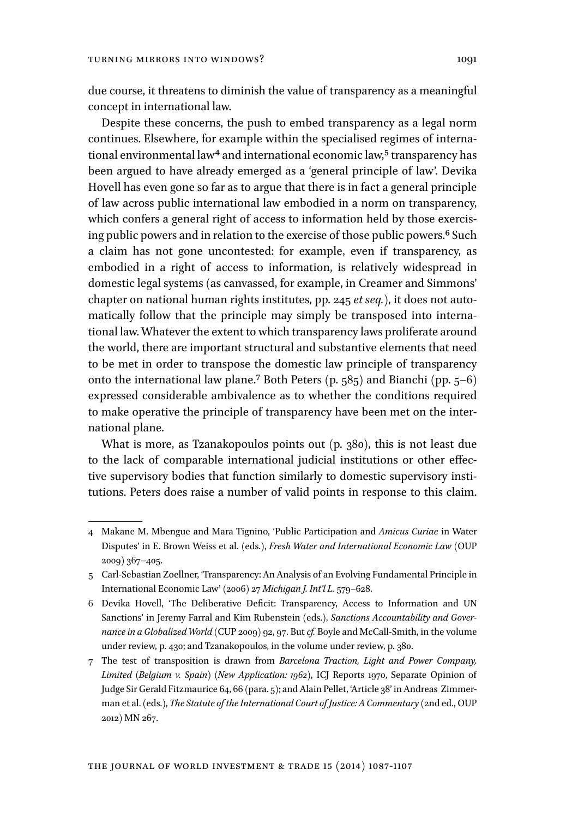due course, it threatens to diminish the value of transparency as a meaningful concept in international law.

Despite these concerns, the push to embed transparency as a legal norm continues. Elsewhere, for example within the specialised regimes of international environmental law<sup>4</sup> and international economic law,<sup>5</sup> transparency has been argued to have already emerged as a 'general principle of law'. Devika Hovell has even gone so far as to argue that there is in fact a general principle of law across public international law embodied in a norm on transparency, which confers a general right of access to information held by those exercising public powers and in relation to the exercise of those public powers.<sup>6</sup> Such a claim has not gone uncontested: for example, even if transparency, as embodied in a right of access to information, is relatively widespread in domestic legal systems (as canvassed, for example, in Creamer and Simmons' chapter on national human rights institutes, pp. 245 *et seq.*), it does not automatically follow that the principle may simply be transposed into international law. Whatever the extent to which transparency laws proliferate around the world, there are important structural and substantive elements that need to be met in order to transpose the domestic law principle of transparency onto the international law plane.7 Both Peters (p. 585) and Bianchi (pp. 5–6) expressed considerable ambivalence as to whether the conditions required to make operative the principle of transparency have been met on the international plane.

What is more, as Tzanakopoulos points out (p. 380), this is not least due to the lack of comparable international judicial institutions or other effective supervisory bodies that function similarly to domestic supervisory institutions. Peters does raise a number of valid points in response to this claim.

<sup>4</sup> Makane M. Mbengue and Mara Tignino, 'Public Participation and *Amicus Curiae* in Water Disputes' in E. Brown Weiss et al. (eds.), *Fresh Water and International Economic Law* (OUP 2009) 367–405.

<sup>5</sup> Carl-Sebastian Zoellner, 'Transparency: An Analysis of an Evolving Fundamental Principle in International Economic Law' (2006) 27 *Michigan J. Int'l L.* 579–628.

<sup>6</sup> Devika Hovell, 'The Deliberative Deficit: Transparency, Access to Information and UN Sanctions' in Jeremy Farral and Kim Rubenstein (eds.), *Sanctions Accountability and Governance in a Globalized World* (CUP 2009) 92, 97. But *cf.* Boyle and McCall-Smith, in the volume under review, p. 430; and Tzanakopoulos, in the volume under review, p. 380.

<sup>7</sup> The test of transposition is drawn from *Barcelona Traction, Light and Power Company, Limited (Belgium v. Spain) (New Application: 1962)*, ICJ Reports 1970, Separate Opinion of Judge Sir Gerald Fitzmaurice 64, 66 (para. 5); and Alain Pellet, 'Article 38' in Andreas Zimmerman et al. (eds.), *The Statute of the International Court of Justice: A Commentary* (2nd ed., OUP 2012) MN 267.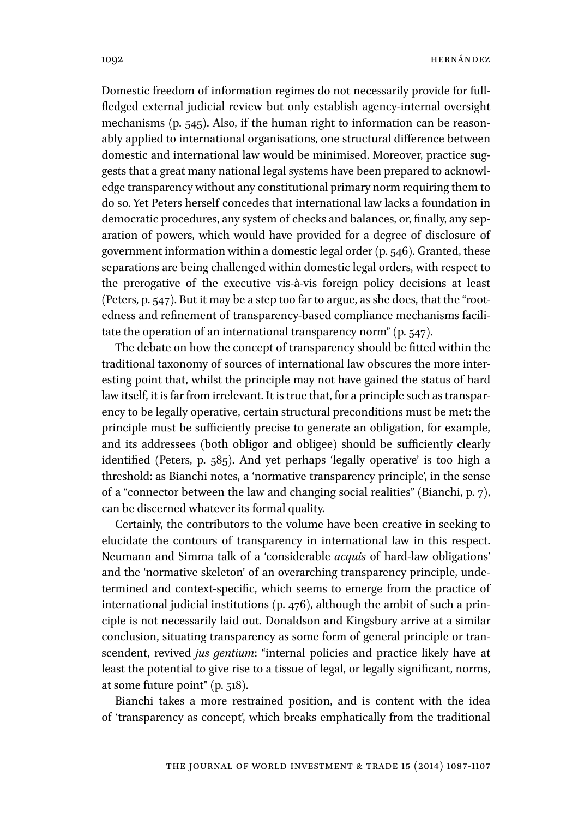Domestic freedom of information regimes do not necessarily provide for fullfledged external judicial review but only establish agency-internal oversight mechanisms (p. 545). Also, if the human right to information can be reasonably applied to international organisations, one structural difference between domestic and international law would be minimised. Moreover, practice suggests that a great many national legal systems have been prepared to acknowledge transparency without any constitutional primary norm requiring them to do so. Yet Peters herself concedes that international law lacks a foundation in democratic procedures, any system of checks and balances, or, finally, any separation of powers, which would have provided for a degree of disclosure of government information within a domestic legal order (p. 546). Granted, these separations are being challenged within domestic legal orders, with respect to the prerogative of the executive vis-à-vis foreign policy decisions at least (Peters, p. 547). But it may be a step too far to argue, as she does, that the "rootedness and refinement of transparency-based compliance mechanisms facilitate the operation of an international transparency norm" (p. 547).

The debate on how the concept of transparency should be fitted within the traditional taxonomy of sources of international law obscures the more interesting point that, whilst the principle may not have gained the status of hard law itself, it is far from irrelevant. It is true that, for a principle such as transparency to be legally operative, certain structural preconditions must be met: the principle must be sufficiently precise to generate an obligation, for example, and its addressees (both obligor and obligee) should be sufficiently clearly identified (Peters, p. 585). And yet perhaps 'legally operative' is too high a threshold: as Bianchi notes, a 'normative transparency principle', in the sense of a "connector between the law and changing social realities" (Bianchi, p. 7), can be discerned whatever its formal quality.

Certainly, the contributors to the volume have been creative in seeking to elucidate the contours of transparency in international law in this respect. Neumann and Simma talk of a 'considerable *acquis* of hard-law obligations' and the 'normative skeleton' of an overarching transparency principle, undetermined and context-specific, which seems to emerge from the practice of international judicial institutions (p. 476), although the ambit of such a principle is not necessarily laid out. Donaldson and Kingsbury arrive at a similar conclusion, situating transparency as some form of general principle or transcendent, revived *jus gentium*: "internal policies and practice likely have at least the potential to give rise to a tissue of legal, or legally significant, norms, at some future point" (p. 518).

Bianchi takes a more restrained position, and is content with the idea of 'transparency as concept', which breaks emphatically from the traditional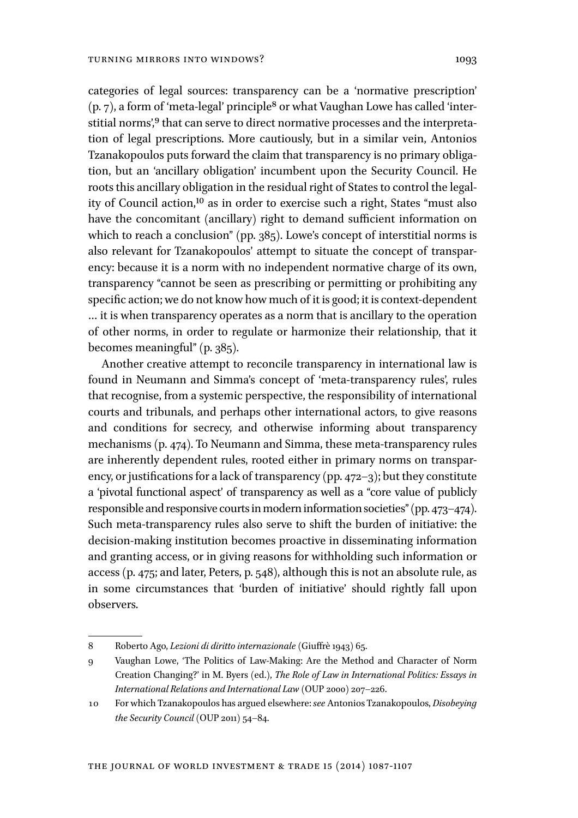categories of legal sources: transparency can be a 'normative prescription'  $(p, 7)$ , a form of 'meta-legal' principle<sup>8</sup> or what Vaughan Lowe has called 'interstitial norms',<sup>9</sup> that can serve to direct normative processes and the interpretation of legal prescriptions. More cautiously, but in a similar vein, Antonios Tzanakopoulos puts forward the claim that transparency is no primary obligation, but an 'ancillary obligation' incumbent upon the Security Council. He roots this ancillary obligation in the residual right of States to control the legality of Council action,10 as in order to exercise such a right, States "must also have the concomitant (ancillary) right to demand sufficient information on which to reach a conclusion" (pp. 385). Lowe's concept of interstitial norms is also relevant for Tzanakopoulos' attempt to situate the concept of transparency: because it is a norm with no independent normative charge of its own, transparency "cannot be seen as prescribing or permitting or prohibiting any specific action; we do not know how much of it is good; it is context-dependent … it is when transparency operates as a norm that is ancillary to the operation of other norms, in order to regulate or harmonize their relationship, that it becomes meaningful" (p. 385).

Another creative attempt to reconcile transparency in international law is found in Neumann and Simma's concept of 'meta-transparency rules', rules that recognise, from a systemic perspective, the responsibility of international courts and tribunals, and perhaps other international actors, to give reasons and conditions for secrecy, and otherwise informing about transparency mechanisms (p. 474). To Neumann and Simma, these meta-transparency rules are inherently dependent rules, rooted either in primary norms on transparency, or justifications for a lack of transparency (pp. 472–3); but they constitute a 'pivotal functional aspect' of transparency as well as a "core value of publicly responsible and responsive courts in modern information societies" (pp. 473–474). Such meta-transparency rules also serve to shift the burden of initiative: the decision-making institution becomes proactive in disseminating information and granting access, or in giving reasons for withholding such information or access (p. 475; and later, Peters, p. 548), although this is not an absolute rule, as in some circumstances that 'burden of initiative' should rightly fall upon observers.

<sup>8</sup> Roberto Ago, *Lezioni di diritto internazionale* (Giuffrè 1943) 65.

<sup>9</sup> Vaughan Lowe, 'The Politics of Law-Making: Are the Method and Character of Norm Creation Changing?' in M. Byers (ed.), *The Role of Law in International Politics: Essays in International Relations and International Law* (OUP 2000) 207–226.

<sup>10</sup> For which Tzanakopoulos has argued elsewhere: *see* Antonios Tzanakopoulos, *Disobeying the Security Council* (OUP 2011) 54–84.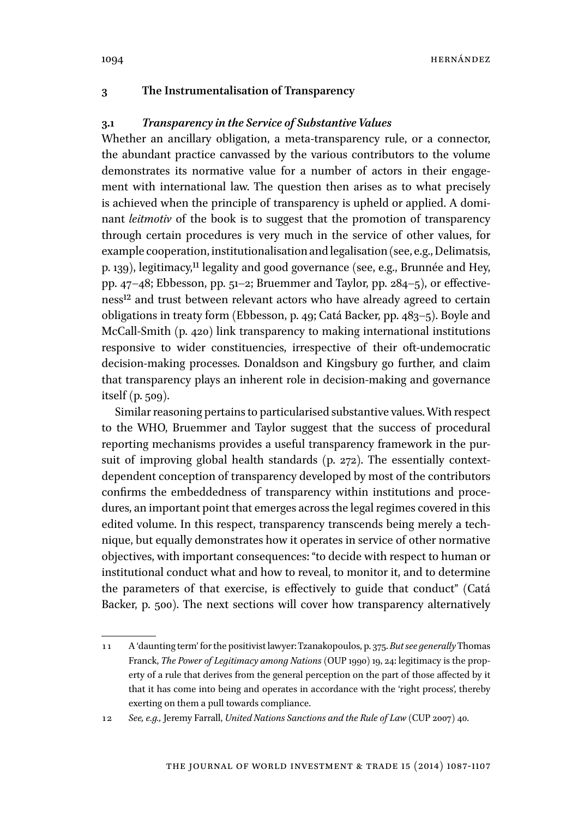## **3 The Instrumentalisation of Transparency**

## **3.1** *Transparency in the Service of Substantive Values*

Whether an ancillary obligation, a meta-transparency rule, or a connector, the abundant practice canvassed by the various contributors to the volume demonstrates its normative value for a number of actors in their engagement with international law. The question then arises as to what precisely is achieved when the principle of transparency is upheld or applied. A dominant *leitmotiv* of the book is to suggest that the promotion of transparency through certain procedures is very much in the service of other values, for example cooperation, institutionalisation and legalisation (see, e.g., Delimatsis, p. 139), legitimacy,<sup>11</sup> legality and good governance (see, e.g., Brunnée and Hey, pp. 47–48; Ebbesson, pp. 51–2; Bruemmer and Taylor, pp. 284–5), or effectiveness12 and trust between relevant actors who have already agreed to certain obligations in treaty form (Ebbesson, p. 49; Catá Backer, pp. 483–5). Boyle and McCall-Smith (p. 420) link transparency to making international institutions responsive to wider constituencies, irrespective of their oft-undemocratic decision-making processes. Donaldson and Kingsbury go further, and claim that transparency plays an inherent role in decision-making and governance itself (p. 509).

Similar reasoning pertains to particularised substantive values. With respect to the WHO, Bruemmer and Taylor suggest that the success of procedural reporting mechanisms provides a useful transparency framework in the pursuit of improving global health standards (p. 272). The essentially contextdependent conception of transparency developed by most of the contributors confirms the embeddedness of transparency within institutions and procedures, an important point that emerges across the legal regimes covered in this edited volume. In this respect, transparency transcends being merely a technique, but equally demonstrates how it operates in service of other normative objectives, with important consequences: "to decide with respect to human or institutional conduct what and how to reveal, to monitor it, and to determine the parameters of that exercise, is effectively to guide that conduct" (Catá Backer, p. 500). The next sections will cover how transparency alternatively

<sup>11</sup> A 'daunting term' for the positivist lawyer: Tzanakopoulos, p. 375. *But see generally* Thomas Franck, *The Power of Legitimacy among Nations* (OUP 1990) 19, 24: legitimacy is the property of a rule that derives from the general perception on the part of those affected by it that it has come into being and operates in accordance with the 'right process', thereby exerting on them a pull towards compliance.

<sup>12</sup> *See, e.g.,* Jeremy Farrall, *United Nations Sanctions and the Rule of Law* (CUP 2007) 40.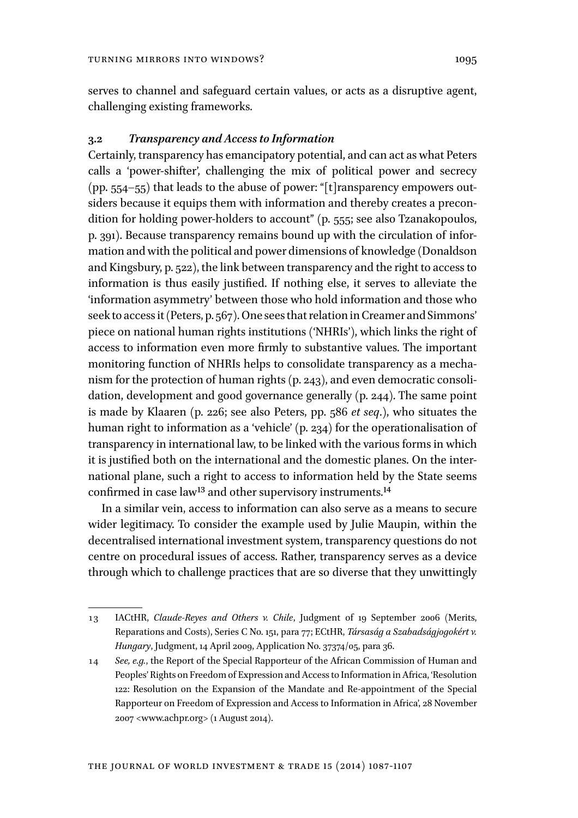serves to channel and safeguard certain values, or acts as a disruptive agent, challenging existing frameworks.

## **3.2** *Transparency and Access to Information*

Certainly, transparency has emancipatory potential, and can act as what Peters calls a 'power-shifter', challenging the mix of political power and secrecy (pp.  $554-55$ ) that leads to the abuse of power: "[t] ransparency empowers outsiders because it equips them with information and thereby creates a precondition for holding power-holders to account" (p. 555; see also Tzanakopoulos, p. 391). Because transparency remains bound up with the circulation of information and with the political and power dimensions of knowledge (Donaldson and Kingsbury, p. 522), the link between transparency and the right to access to information is thus easily justified. If nothing else, it serves to alleviate the 'information asymmetry' between those who hold information and those who seek to access it (Peters, p. 567). One sees that relation in Creamer and Simmons' piece on national human rights institutions ('NHRIs'), which links the right of access to information even more firmly to substantive values. The important monitoring function of NHRIs helps to consolidate transparency as a mechanism for the protection of human rights (p. 243), and even democratic consolidation, development and good governance generally (p. 244). The same point is made by Klaaren (p. 226; see also Peters, pp. 586 *et seq*.), who situates the human right to information as a 'vehicle' (p. 234) for the operationalisation of transparency in international law, to be linked with the various forms in which it is justified both on the international and the domestic planes. On the international plane, such a right to access to information held by the State seems confirmed in case law<sup>13</sup> and other supervisory instruments.<sup>14</sup>

In a similar vein, access to information can also serve as a means to secure wider legitimacy. To consider the example used by Julie Maupin, within the decentralised international investment system, transparency questions do not centre on procedural issues of access. Rather, transparency serves as a device through which to challenge practices that are so diverse that they unwittingly

<sup>13</sup> IACtHR, *Claude-Reyes and Others v. Chile*, Judgment of 19 September 2006 (Merits, Reparations and Costs), Series C No. 151, para 77; ECtHR, *Társaság a Szabadságjogokért v. Hungary*, Judgment, 14 April 2009, Application No. 37374/05, para 36.

<sup>14</sup> *See, e.g.*, the Report of the Special Rapporteur of the African Commission of Human and Peoples' Rights on Freedom of Expression and Access to Information in Africa, 'Resolution 122: Resolution on the Expansion of the Mandate and Re-appointment of the Special Rapporteur on Freedom of Expression and Access to Information in Africa', 28 November 2007 <www.achpr.org> (1 August 2014).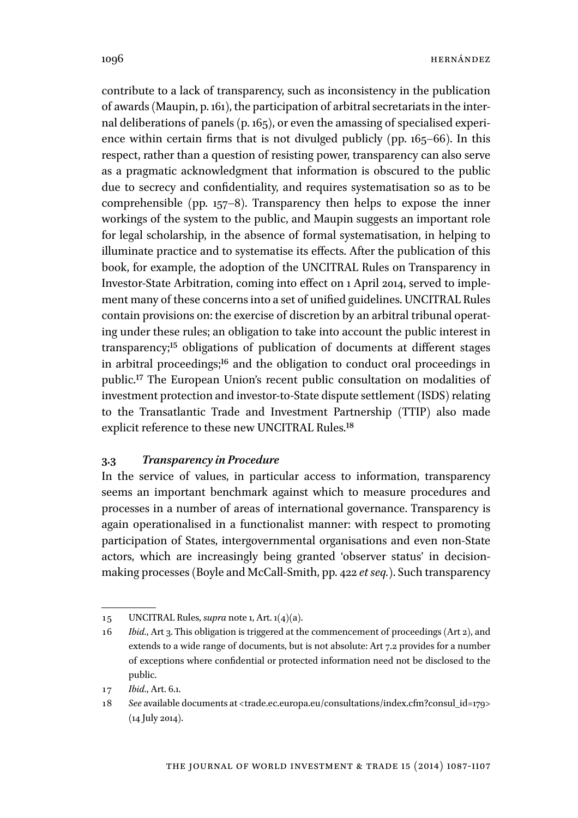contribute to a lack of transparency, such as inconsistency in the publication of awards (Maupin, p. 161), the participation of arbitral secretariats in the internal deliberations of panels (p. 165), or even the amassing of specialised experience within certain firms that is not divulged publicly (pp. 165–66). In this respect, rather than a question of resisting power, transparency can also serve as a pragmatic acknowledgment that information is obscured to the public due to secrecy and confidentiality, and requires systematisation so as to be comprehensible (pp. 157–8). Transparency then helps to expose the inner workings of the system to the public, and Maupin suggests an important role for legal scholarship, in the absence of formal systematisation, in helping to illuminate practice and to systematise its effects. After the publication of this book, for example, the adoption of the UNCITRAL Rules on Transparency in Investor-State Arbitration, coming into effect on 1 April 2014, served to implement many of these concerns into a set of unified guidelines. UNCITRAL Rules contain provisions on: the exercise of discretion by an arbitral tribunal operating under these rules; an obligation to take into account the public interest in transparency;15 obligations of publication of documents at different stages in arbitral proceedings;16 and the obligation to conduct oral proceedings in public.17 The European Union's recent public consultation on modalities of investment protection and investor-to-State dispute settlement (ISDS) relating to the Transatlantic Trade and Investment Partnership (TTIP) also made explicit reference to these new UNCITRAL Rules.18

#### **3.3** *Transparency in Procedure*

In the service of values, in particular access to information, transparency seems an important benchmark against which to measure procedures and processes in a number of areas of international governance. Transparency is again operationalised in a functionalist manner: with respect to promoting participation of States, intergovernmental organisations and even non-State actors, which are increasingly being granted 'observer status' in decisionmaking processes (Boyle and McCall-Smith, pp. 422 *et seq.*). Such transparency

<sup>15</sup> UNCITRAL Rules, *supra* note 1, Art. 1(4)(a).

<sup>16</sup> *Ibid*., Art 3. This obligation is triggered at the commencement of proceedings (Art 2), and extends to a wide range of documents, but is not absolute: Art 7.2 provides for a number of exceptions where confidential or protected information need not be disclosed to the public.

<sup>17</sup> *Ibid*., Art. 6.1.

<sup>18</sup> See available documents at <trade.ec.europa.eu/consultations/index.cfm?consul\_id=179> (14 July 2014).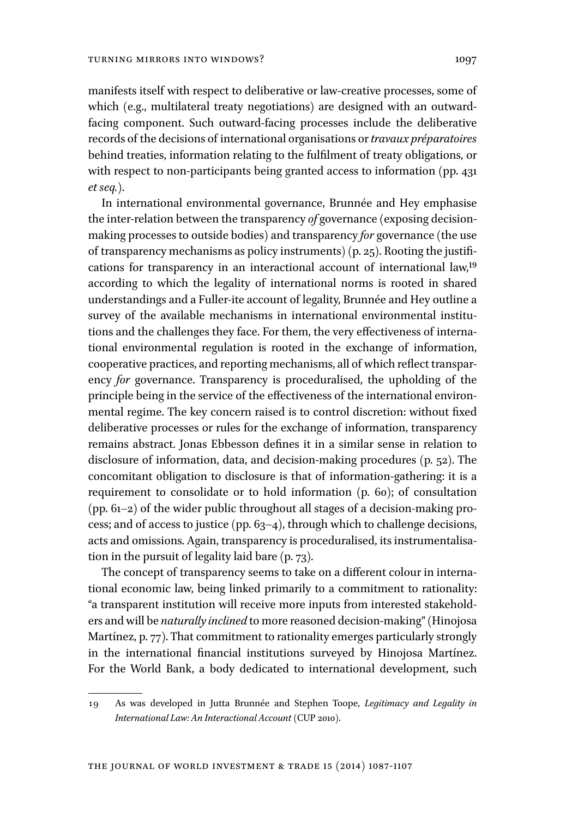manifests itself with respect to deliberative or law-creative processes, some of which (e.g., multilateral treaty negotiations) are designed with an outwardfacing component. Such outward-facing processes include the deliberative records of the decisions of international organisations or *travaux préparatoires* behind treaties, information relating to the fulfilment of treaty obligations, or with respect to non-participants being granted access to information (pp. 431 *et seq.*).

In international environmental governance, Brunnée and Hey emphasise the inter-relation between the transparency *of* governance (exposing decisionmaking processes to outside bodies) and transparency *for* governance (the use of transparency mechanisms as policy instruments) (p. 25). Rooting the justifications for transparency in an interactional account of international law,19 according to which the legality of international norms is rooted in shared understandings and a Fuller-ite account of legality, Brunnée and Hey outline a survey of the available mechanisms in international environmental institutions and the challenges they face. For them, the very effectiveness of international environmental regulation is rooted in the exchange of information, cooperative practices, and reporting mechanisms, all of which reflect transparency *for* governance. Transparency is proceduralised, the upholding of the principle being in the service of the effectiveness of the international environmental regime. The key concern raised is to control discretion: without fixed deliberative processes or rules for the exchange of information, transparency remains abstract. Jonas Ebbesson defines it in a similar sense in relation to disclosure of information, data, and decision-making procedures (p. 52). The concomitant obligation to disclosure is that of information-gathering: it is a requirement to consolidate or to hold information (p. 60); of consultation (pp. 61–2) of the wider public throughout all stages of a decision-making process; and of access to justice (pp. 63–4), through which to challenge decisions, acts and omissions. Again, transparency is proceduralised, its instrumentalisation in the pursuit of legality laid bare (p. 73).

The concept of transparency seems to take on a different colour in international economic law, being linked primarily to a commitment to rationality: "a transparent institution will receive more inputs from interested stakeholders and will be *naturally inclined* to more reasoned decision-making" (Hinojosa Martínez, p. 77). That commitment to rationality emerges particularly strongly in the international financial institutions surveyed by Hinojosa Martínez. For the World Bank, a body dedicated to international development, such

<sup>19</sup> As was developed in Jutta Brunnée and Stephen Toope, *Legitimacy and Legality in International Law: An Interactional Account* (CUP 2010).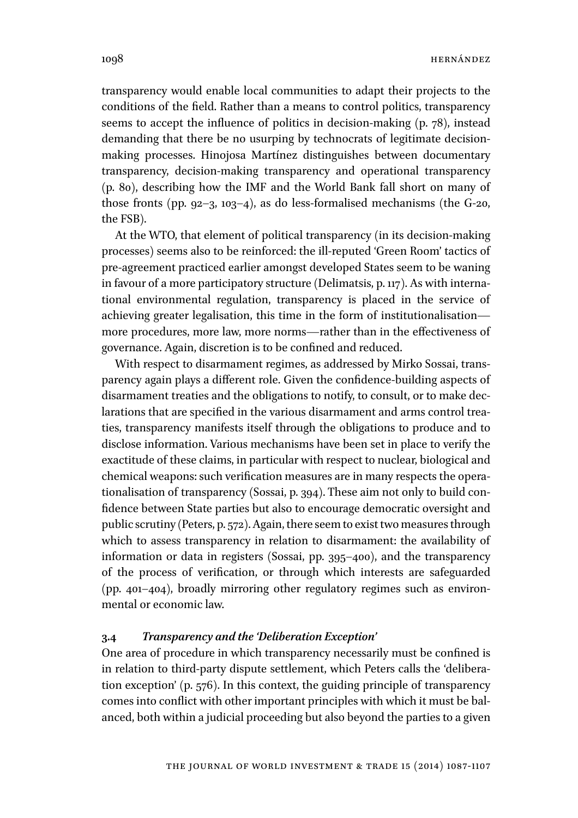transparency would enable local communities to adapt their projects to the conditions of the field. Rather than a means to control politics, transparency seems to accept the influence of politics in decision-making (p. 78), instead demanding that there be no usurping by technocrats of legitimate decisionmaking processes. Hinojosa Martínez distinguishes between documentary transparency, decision-making transparency and operational transparency (p. 80), describing how the IMF and the World Bank fall short on many of those fronts (pp. 92–3, 103–4), as do less-formalised mechanisms (the G-20, the FSB).

At the WTO, that element of political transparency (in its decision-making processes) seems also to be reinforced: the ill-reputed 'Green Room' tactics of pre-agreement practiced earlier amongst developed States seem to be waning in favour of a more participatory structure (Delimatsis, p. 117). As with international environmental regulation, transparency is placed in the service of achieving greater legalisation, this time in the form of institutionalisation more procedures, more law, more norms—rather than in the effectiveness of governance. Again, discretion is to be confined and reduced.

With respect to disarmament regimes, as addressed by Mirko Sossai, transparency again plays a different role. Given the confidence-building aspects of disarmament treaties and the obligations to notify, to consult, or to make declarations that are specified in the various disarmament and arms control treaties, transparency manifests itself through the obligations to produce and to disclose information. Various mechanisms have been set in place to verify the exactitude of these claims, in particular with respect to nuclear, biological and chemical weapons: such verification measures are in many respects the operationalisation of transparency (Sossai, p. 394). These aim not only to build confidence between State parties but also to encourage democratic oversight and public scrutiny (Peters, p. 572). Again, there seem to exist two measures through which to assess transparency in relation to disarmament: the availability of information or data in registers (Sossai, pp. 395–400), and the transparency of the process of verification, or through which interests are safeguarded (pp. 401–404), broadly mirroring other regulatory regimes such as environmental or economic law.

## **3.4** *Transparency and the 'Deliberation Exception'*

One area of procedure in which transparency necessarily must be confined is in relation to third-party dispute settlement, which Peters calls the 'deliberation exception' (p. 576). In this context, the guiding principle of transparency comes into conflict with other important principles with which it must be balanced, both within a judicial proceeding but also beyond the parties to a given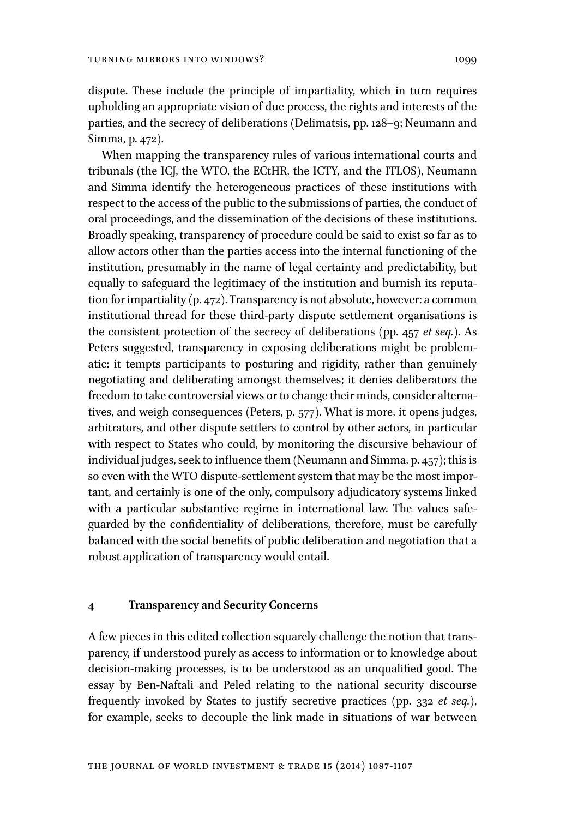dispute. These include the principle of impartiality, which in turn requires upholding an appropriate vision of due process, the rights and interests of the parties, and the secrecy of deliberations (Delimatsis, pp. 128–9; Neumann and Simma, p. 472).

When mapping the transparency rules of various international courts and tribunals (the ICJ, the WTO, the ECtHR, the ICTY, and the ITLOS), Neumann and Simma identify the heterogeneous practices of these institutions with respect to the access of the public to the submissions of parties, the conduct of oral proceedings, and the dissemination of the decisions of these institutions. Broadly speaking, transparency of procedure could be said to exist so far as to allow actors other than the parties access into the internal functioning of the institution, presumably in the name of legal certainty and predictability, but equally to safeguard the legitimacy of the institution and burnish its reputation for impartiality (p. 472). Transparency is not absolute, however: a common institutional thread for these third-party dispute settlement organisations is the consistent protection of the secrecy of deliberations (pp. 457 *et seq.*). As Peters suggested, transparency in exposing deliberations might be problematic: it tempts participants to posturing and rigidity, rather than genuinely negotiating and deliberating amongst themselves; it denies deliberators the freedom to take controversial views or to change their minds, consider alternatives, and weigh consequences (Peters, p. 577). What is more, it opens judges, arbitrators, and other dispute settlers to control by other actors, in particular with respect to States who could, by monitoring the discursive behaviour of individual judges, seek to influence them (Neumann and Simma, p. 457); this is so even with the WTO dispute-settlement system that may be the most important, and certainly is one of the only, compulsory adjudicatory systems linked with a particular substantive regime in international law. The values safeguarded by the confidentiality of deliberations, therefore, must be carefully balanced with the social benefits of public deliberation and negotiation that a robust application of transparency would entail.

#### **4 Transparency and Security Concerns**

A few pieces in this edited collection squarely challenge the notion that transparency, if understood purely as access to information or to knowledge about decision-making processes, is to be understood as an unqualified good. The essay by Ben-Naftali and Peled relating to the national security discourse frequently invoked by States to justify secretive practices (pp. 332 *et seq.*), for example, seeks to decouple the link made in situations of war between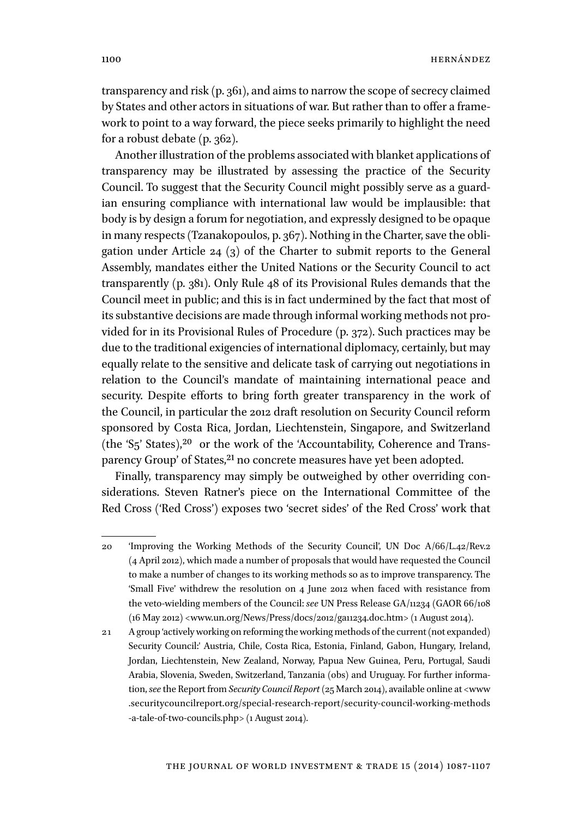1100 HERNÁNDEZ

transparency and risk (p. 361), and aims to narrow the scope of secrecy claimed by States and other actors in situations of war. But rather than to offer a framework to point to a way forward, the piece seeks primarily to highlight the need for a robust debate (p. 362).

Another illustration of the problems associated with blanket applications of transparency may be illustrated by assessing the practice of the Security Council. To suggest that the Security Council might possibly serve as a guardian ensuring compliance with international law would be implausible: that body is by design a forum for negotiation, and expressly designed to be opaque in many respects (Tzanakopoulos, p. 367). Nothing in the Charter, save the obligation under Article 24 (3) of the Charter to submit reports to the General Assembly, mandates either the United Nations or the Security Council to act transparently (p. 381). Only Rule 48 of its Provisional Rules demands that the Council meet in public; and this is in fact undermined by the fact that most of its substantive decisions are made through informal working methods not provided for in its Provisional Rules of Procedure (p. 372). Such practices may be due to the traditional exigencies of international diplomacy, certainly, but may equally relate to the sensitive and delicate task of carrying out negotiations in relation to the Council's mandate of maintaining international peace and security. Despite efforts to bring forth greater transparency in the work of the Council, in particular the 2012 draft resolution on Security Council reform sponsored by Costa Rica, Jordan, Liechtenstein, Singapore, and Switzerland (the 'S5' States),20 or the work of the 'Accountability, Coherence and Transparency Group' of States,<sup>21</sup> no concrete measures have yet been adopted.

Finally, transparency may simply be outweighed by other overriding considerations. Steven Ratner's piece on the International Committee of the Red Cross ('Red Cross') exposes two 'secret sides' of the Red Cross' work that

<sup>20</sup> 'Improving the Working Methods of the Security Council', UN Doc A/66/L.42/Rev.2 (4 April 2012), which made a number of proposals that would have requested the Council to make a number of changes to its working methods so as to improve transparency. The 'Small Five' withdrew the resolution on 4 June 2012 when faced with resistance from the veto-wielding members of the Council: *see* UN Press Release GA/11234 (GAOR 66/108 (16 May 2012) <www.un.org/News/Press/docs/2012/ga11234.doc.htm> (1 August 2014).

<sup>21</sup> A group 'actively working on reforming the working methods of the current (not expanded) Security Council:' Austria, Chile, Costa Rica, Estonia, Finland, Gabon, Hungary, Ireland, Jordan, Liechtenstein, New Zealand, Norway, Papua New Guinea, Peru, Portugal, Saudi Arabia, Slovenia, Sweden, Switzerland, Tanzania (obs) and Uruguay. For further information, *see* the Report from *Security Council Report* (25 March 2014), available online at <www .securitycouncilreport.org/special-research-report/security-council-working-methods -a-tale-of-two-councils.php> (1 August 2014).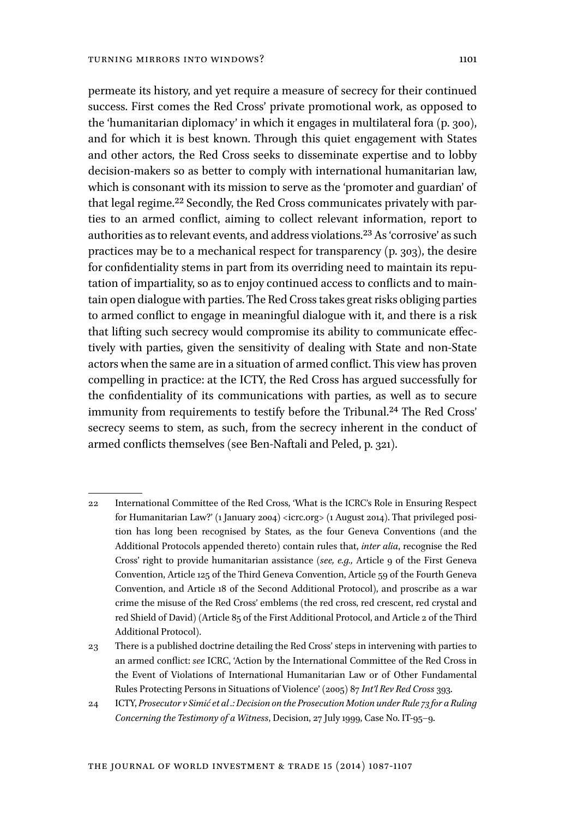permeate its history, and yet require a measure of secrecy for their continued success. First comes the Red Cross' private promotional work, as opposed to the 'humanitarian diplomacy' in which it engages in multilateral fora (p. 300), and for which it is best known. Through this quiet engagement with States and other actors, the Red Cross seeks to disseminate expertise and to lobby decision-makers so as better to comply with international humanitarian law, which is consonant with its mission to serve as the 'promoter and guardian' of that legal regime.22 Secondly, the Red Cross communicates privately with parties to an armed conflict, aiming to collect relevant information, report to authorities as to relevant events, and address violations.23 As 'corrosive' as such practices may be to a mechanical respect for transparency (p. 303), the desire for confidentiality stems in part from its overriding need to maintain its reputation of impartiality, so as to enjoy continued access to conflicts and to maintain open dialogue with parties. The Red Cross takes great risks obliging parties to armed conflict to engage in meaningful dialogue with it, and there is a risk that lifting such secrecy would compromise its ability to communicate effectively with parties, given the sensitivity of dealing with State and non-State actors when the same are in a situation of armed conflict. This view has proven compelling in practice: at the ICTY, the Red Cross has argued successfully for the confidentiality of its communications with parties, as well as to secure immunity from requirements to testify before the Tribunal.<sup>24</sup> The Red Cross' secrecy seems to stem, as such, from the secrecy inherent in the conduct of armed conflicts themselves (see Ben-Naftali and Peled, p. 321).

<sup>22</sup> International Committee of the Red Cross, 'What is the ICRC's Role in Ensuring Respect for Humanitarian Law?' (1 January 2004) <icrc.org> (1 August 2014). That privileged position has long been recognised by States, as the four Geneva Conventions (and the Additional Protocols appended thereto) contain rules that, *inter alia*, recognise the Red Cross' right to provide humanitarian assistance (*see, e.g.,* Article 9 of the First Geneva Convention, Article 125 of the Third Geneva Convention, Article 59 of the Fourth Geneva Convention, and Article 18 of the Second Additional Protocol), and proscribe as a war crime the misuse of the Red Cross' emblems (the red cross, red crescent, red crystal and red Shield of David) (Article 85 of the First Additional Protocol, and Article 2 of the Third Additional Protocol).

<sup>23</sup> There is a published doctrine detailing the Red Cross' steps in intervening with parties to an armed conflict: *see* ICRC, 'Action by the International Committee of the Red Cross in the Event of Violations of International Humanitarian Law or of Other Fundamental Rules Protecting Persons in Situations of Violence' (2005) 87 *Int'l Rev Red Cross* 393.

<sup>24</sup> ICTY, *Prosecutor v Simić et al .: Decision on the Prosecution Motion under Rule 73 for a Ruling Concerning the Testimony of a Witness*, Decision, 27 July 1999, Case No. IT-95–9.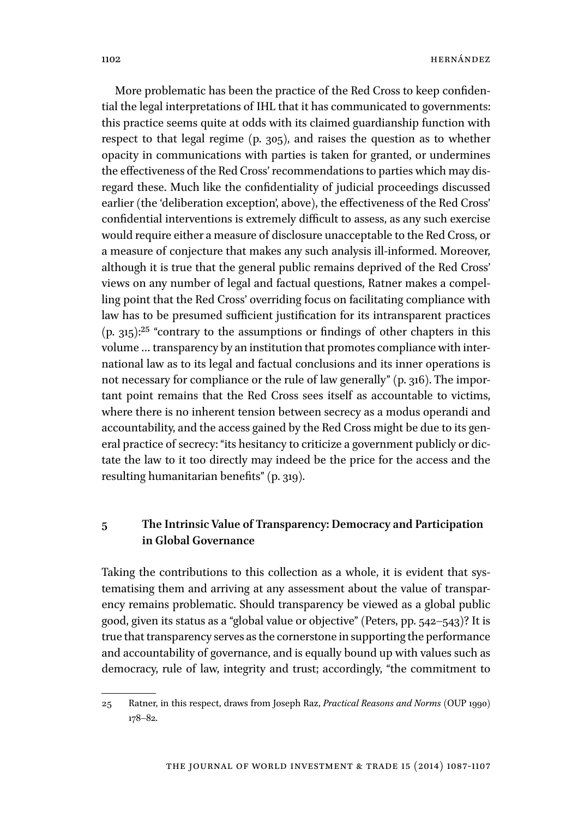More problematic has been the practice of the Red Cross to keep confidential the legal interpretations of IHL that it has communicated to governments: this practice seems quite at odds with its claimed guardianship function with respect to that legal regime (p. 305), and raises the question as to whether opacity in communications with parties is taken for granted, or undermines the effectiveness of the Red Cross' recommendations to parties which may disregard these. Much like the confidentiality of judicial proceedings discussed earlier (the 'deliberation exception', above), the effectiveness of the Red Cross' confidential interventions is extremely difficult to assess, as any such exercise would require either a measure of disclosure unacceptable to the Red Cross, or a measure of conjecture that makes any such analysis ill-informed. Moreover, although it is true that the general public remains deprived of the Red Cross' views on any number of legal and factual questions, Ratner makes a compelling point that the Red Cross' overriding focus on facilitating compliance with law has to be presumed sufficient justification for its intransparent practices (p. 315):25 "contrary to the assumptions or findings of other chapters in this volume … transparency by an institution that promotes compliance with international law as to its legal and factual conclusions and its inner operations is not necessary for compliance or the rule of law generally" (p. 316). The important point remains that the Red Cross sees itself as accountable to victims, where there is no inherent tension between secrecy as a modus operandi and accountability, and the access gained by the Red Cross might be due to its general practice of secrecy: "its hesitancy to criticize a government publicly or dictate the law to it too directly may indeed be the price for the access and the resulting humanitarian benefits" (p. 319).

# **5 The Intrinsic Value of Transparency: Democracy and Participation in Global Governance**

Taking the contributions to this collection as a whole, it is evident that systematising them and arriving at any assessment about the value of transparency remains problematic. Should transparency be viewed as a global public good, given its status as a "global value or objective" (Peters, pp. 542–543)? It is true that transparency serves as the cornerstone in supporting the performance and accountability of governance, and is equally bound up with values such as democracy, rule of law, integrity and trust; accordingly, "the commitment to

<sup>25</sup> Ratner, in this respect, draws from Joseph Raz, *Practical Reasons and Norms* (OUP 1990) 178–82.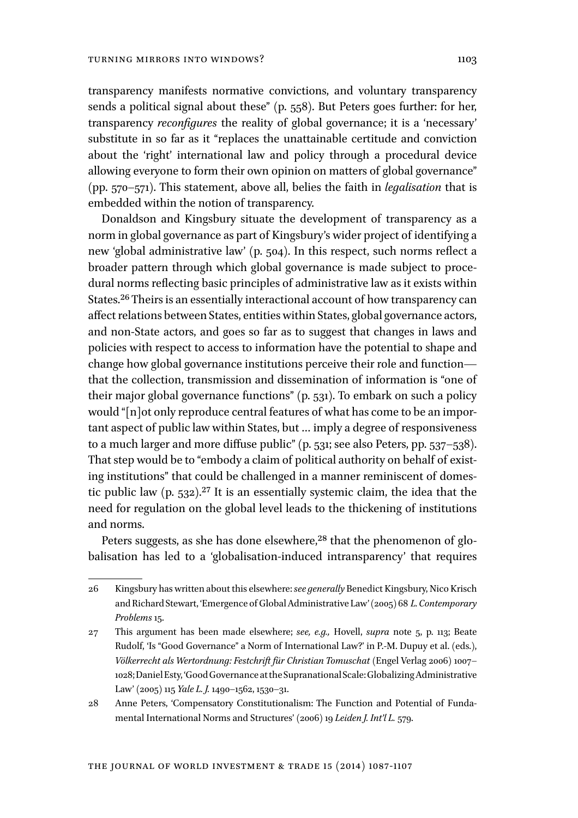transparency manifests normative convictions, and voluntary transparency sends a political signal about these" (p. 558). But Peters goes further: for her, transparency *reconfigures* the reality of global governance; it is a 'necessary' substitute in so far as it "replaces the unattainable certitude and conviction about the 'right' international law and policy through a procedural device allowing everyone to form their own opinion on matters of global governance" (pp. 570–571). This statement, above all, belies the faith in *legalisation* that is embedded within the notion of transparency.

Donaldson and Kingsbury situate the development of transparency as a norm in global governance as part of Kingsbury's wider project of identifying a new 'global administrative law' (p. 504). In this respect, such norms reflect a broader pattern through which global governance is made subject to procedural norms reflecting basic principles of administrative law as it exists within States.26 Theirs is an essentially interactional account of how transparency can affect relations between States, entities within States, global governance actors, and non-State actors, and goes so far as to suggest that changes in laws and policies with respect to access to information have the potential to shape and change how global governance institutions perceive their role and function that the collection, transmission and dissemination of information is "one of their major global governance functions" (p. 531). To embark on such a policy would "[n]ot only reproduce central features of what has come to be an important aspect of public law within States, but … imply a degree of responsiveness to a much larger and more diffuse public" (p. 531; see also Peters, pp. 537–538). That step would be to "embody a claim of political authority on behalf of existing institutions" that could be challenged in a manner reminiscent of domestic public law  $(p. 532).^{27}$  It is an essentially systemic claim, the idea that the need for regulation on the global level leads to the thickening of institutions and norms.

Peters suggests, as she has done elsewhere,<sup>28</sup> that the phenomenon of globalisation has led to a 'globalisation-induced intransparency' that requires

<sup>26</sup> Kingsbury has written about this elsewhere: *see generally* Benedict Kingsbury, Nico Krisch and Richard Stewart, 'Emergence of Global Administrative Law' (2005) 68 *L. Contemporary Problems* 15.

<sup>27</sup> This argument has been made elsewhere; *see, e.g.,* Hovell, *supra* note 5, p. 113; Beate Rudolf, 'Is "Good Governance" a Norm of International Law?' in P.-M. Dupuy et al. (eds.), *Völkerrecht als Wertordnung: Festchrift für Christian Tomuschat* (Engel Verlag 2006) 1007– 1028; Daniel Esty, 'Good Governance at the Supranational Scale: Globalizing Administrative Law' (2005) 115 *Yale L. J.* 1490–1562, 1530–31.

<sup>28</sup> Anne Peters, 'Compensatory Constitutionalism: The Function and Potential of Fundamental International Norms and Structures' (2006) 19 *Leiden J. Int'l L.* 579.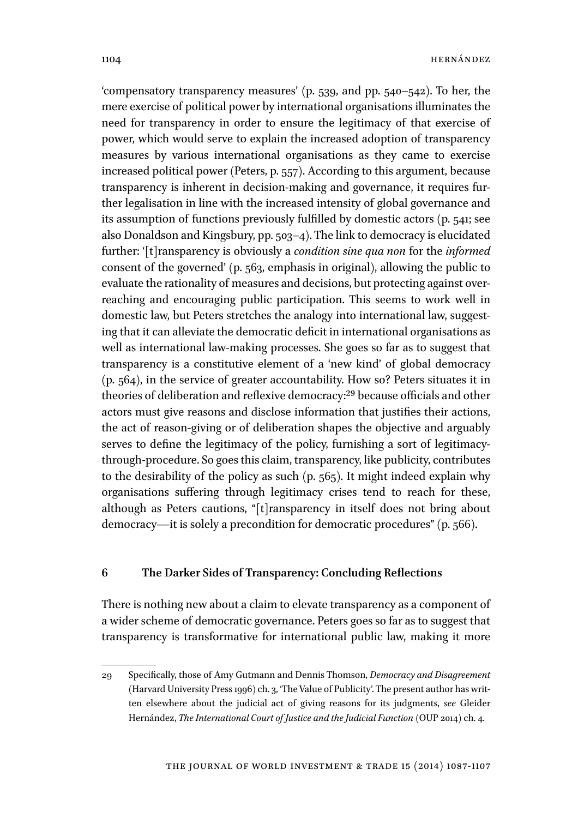'compensatory transparency measures' (p. 539, and pp. 540–542). To her, the mere exercise of political power by international organisations illuminates the need for transparency in order to ensure the legitimacy of that exercise of power, which would serve to explain the increased adoption of transparency measures by various international organisations as they came to exercise increased political power (Peters, p. 557). According to this argument, because transparency is inherent in decision-making and governance, it requires further legalisation in line with the increased intensity of global governance and its assumption of functions previously fulfilled by domestic actors (p. 541; see also Donaldson and Kingsbury, pp. 503–4). The link to democracy is elucidated further: '[t]ransparency is obviously a *condition sine qua non* for the *informed* consent of the governed' (p. 563, emphasis in original), allowing the public to evaluate the rationality of measures and decisions, but protecting against overreaching and encouraging public participation. This seems to work well in domestic law, but Peters stretches the analogy into international law, suggesting that it can alleviate the democratic deficit in international organisations as well as international law-making processes. She goes so far as to suggest that transparency is a constitutive element of a 'new kind' of global democracy (p. 564), in the service of greater accountability. How so? Peters situates it in theories of deliberation and reflexive democracy:29 because officials and other actors must give reasons and disclose information that justifies their actions, the act of reason-giving or of deliberation shapes the objective and arguably serves to define the legitimacy of the policy, furnishing a sort of legitimacythrough-procedure. So goes this claim, transparency, like publicity, contributes to the desirability of the policy as such (p. 565). It might indeed explain why organisations suffering through legitimacy crises tend to reach for these, although as Peters cautions, "[t]ransparency in itself does not bring about democracy—it is solely a precondition for democratic procedures" (p. 566).

## **6 The Darker Sides of Transparency: Concluding Reflections**

There is nothing new about a claim to elevate transparency as a component of a wider scheme of democratic governance. Peters goes so far as to suggest that transparency is transformative for international public law, making it more

<sup>29</sup> Specifically, those of Amy Gutmann and Dennis Thomson, *Democracy and Disagreement* (Harvard University Press 1996) ch. 3, 'The Value of Publicity'. The present author has written elsewhere about the judicial act of giving reasons for its judgments, *see* Gleider Hernández, *The International Court of Justice and the Judicial Function* (OUP 2014) ch. 4.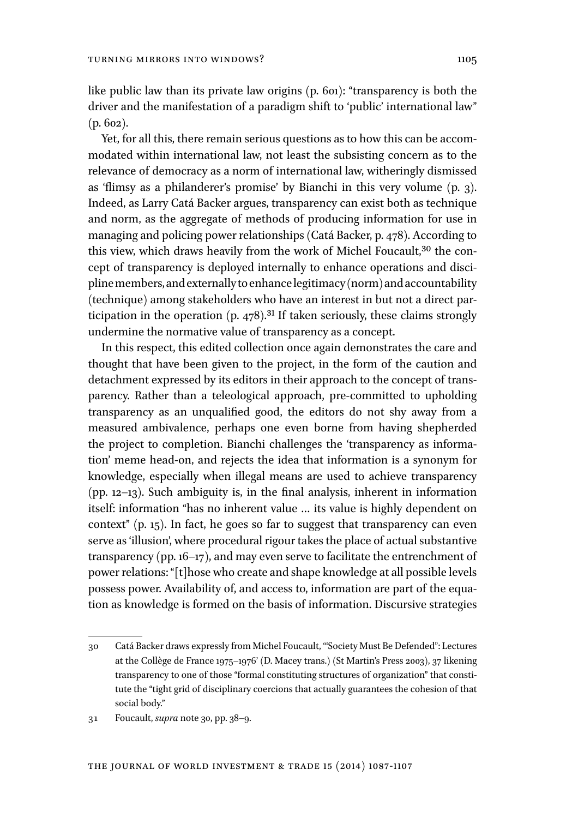like public law than its private law origins (p. 601): "transparency is both the driver and the manifestation of a paradigm shift to 'public' international law"  $(p. 602)$ .

Yet, for all this, there remain serious questions as to how this can be accommodated within international law, not least the subsisting concern as to the relevance of democracy as a norm of international law, witheringly dismissed as 'flimsy as a philanderer's promise' by Bianchi in this very volume (p. 3). Indeed, as Larry Catá Backer argues, transparency can exist both as technique and norm, as the aggregate of methods of producing information for use in managing and policing power relationships (Catá Backer, p. 478). According to this view, which draws heavily from the work of Michel Foucault,<sup>30</sup> the concept of transparency is deployed internally to enhance operations and discipline members, and externally to enhance legitimacy (norm) and accountability (technique) among stakeholders who have an interest in but not a direct participation in the operation  $(p. 478)$ .<sup>31</sup> If taken seriously, these claims strongly undermine the normative value of transparency as a concept.

In this respect, this edited collection once again demonstrates the care and thought that have been given to the project, in the form of the caution and detachment expressed by its editors in their approach to the concept of transparency. Rather than a teleological approach, pre-committed to upholding transparency as an unqualified good, the editors do not shy away from a measured ambivalence, perhaps one even borne from having shepherded the project to completion. Bianchi challenges the 'transparency as information' meme head-on, and rejects the idea that information is a synonym for knowledge, especially when illegal means are used to achieve transparency (pp. 12–13). Such ambiguity is, in the final analysis, inherent in information itself: information "has no inherent value … its value is highly dependent on context" (p. 15). In fact, he goes so far to suggest that transparency can even serve as 'illusion', where procedural rigour takes the place of actual substantive transparency (pp. 16–17), and may even serve to facilitate the entrenchment of power relations: "[t]hose who create and shape knowledge at all possible levels possess power. Availability of, and access to, information are part of the equation as knowledge is formed on the basis of information. Discursive strategies

<sup>30</sup> Catá Backer draws expressly from Michel Foucault, '"Society Must Be Defended": Lectures at the Collège de France 1975–1976' (D. Macey trans.) (St Martin's Press 2003), 37 likening transparency to one of those "formal constituting structures of organization" that constitute the "tight grid of disciplinary coercions that actually guarantees the cohesion of that social body."

<sup>31</sup> Foucault, *supra* note 30, pp. 38–9.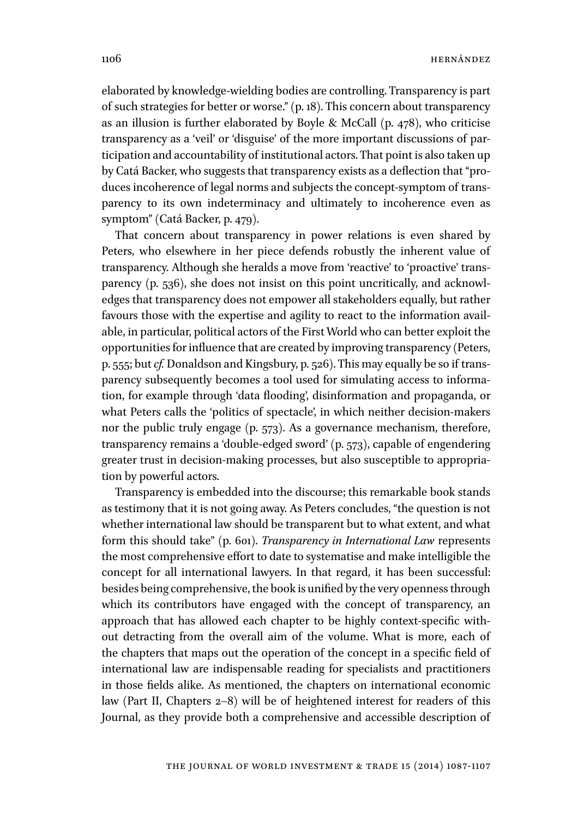elaborated by knowledge-wielding bodies are controlling. Transparency is part of such strategies for better or worse." (p. 18). This concern about transparency as an illusion is further elaborated by Boyle & McCall (p. 478), who criticise transparency as a 'veil' or 'disguise' of the more important discussions of participation and accountability of institutional actors. That point is also taken up by Catá Backer, who suggests that transparency exists as a deflection that "produces incoherence of legal norms and subjects the concept-symptom of transparency to its own indeterminacy and ultimately to incoherence even as symptom" (Catá Backer, p. 479).

That concern about transparency in power relations is even shared by Peters, who elsewhere in her piece defends robustly the inherent value of transparency. Although she heralds a move from 'reactive' to 'proactive' transparency (p. 536), she does not insist on this point uncritically, and acknowledges that transparency does not empower all stakeholders equally, but rather favours those with the expertise and agility to react to the information available, in particular, political actors of the First World who can better exploit the opportunities for influence that are created by improving transparency (Peters, p. 555; but *cf.* Donaldson and Kingsbury, p. 526). This may equally be so if transparency subsequently becomes a tool used for simulating access to information, for example through 'data flooding', disinformation and propaganda, or what Peters calls the 'politics of spectacle', in which neither decision-makers nor the public truly engage (p. 573). As a governance mechanism, therefore, transparency remains a 'double-edged sword' (p. 573), capable of engendering greater trust in decision-making processes, but also susceptible to appropriation by powerful actors.

Transparency is embedded into the discourse; this remarkable book stands as testimony that it is not going away. As Peters concludes, "the question is not whether international law should be transparent but to what extent, and what form this should take" (p. 601). *Transparency in International Law* represents the most comprehensive effort to date to systematise and make intelligible the concept for all international lawyers. In that regard, it has been successful: besides being comprehensive, the book is unified by the very openness through which its contributors have engaged with the concept of transparency, an approach that has allowed each chapter to be highly context-specific without detracting from the overall aim of the volume. What is more, each of the chapters that maps out the operation of the concept in a specific field of international law are indispensable reading for specialists and practitioners in those fields alike. As mentioned, the chapters on international economic law (Part II, Chapters 2–8) will be of heightened interest for readers of this Journal, as they provide both a comprehensive and accessible description of